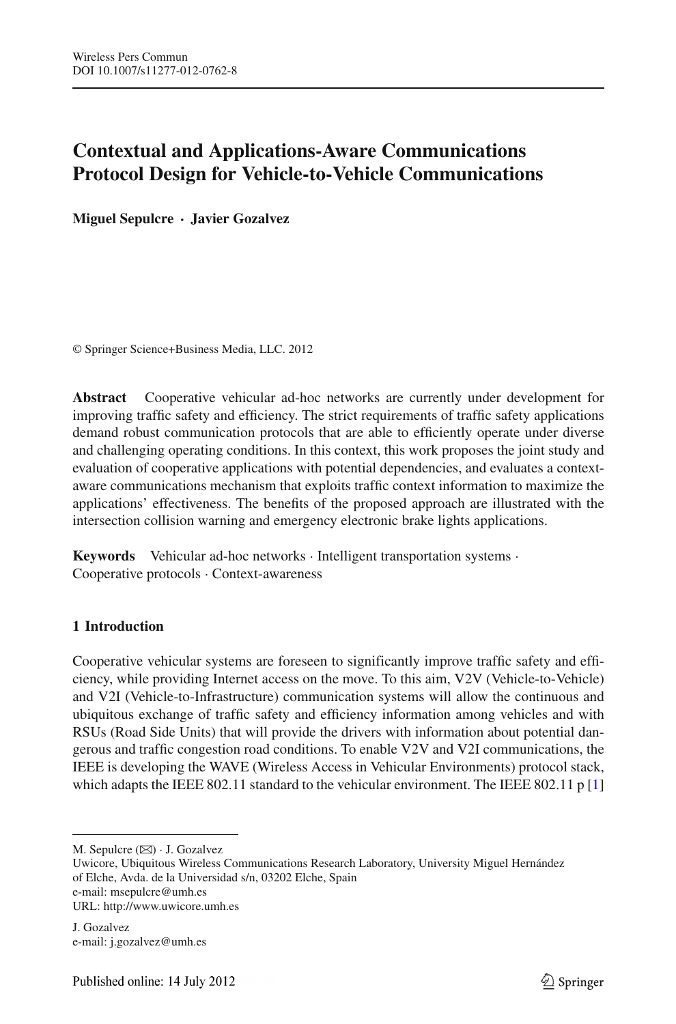# **Contextual and Applications-Aware Communications Protocol Design for Vehicle-to-Vehicle Communications**

**Miguel Sepulcre · Javier Gozalvez**

© Springer Science+Business Media, LLC. 2012

**Abstract** Cooperative vehicular ad-hoc networks are currently under development for improving traffic safety and efficiency. The strict requirements of traffic safety applications demand robust communication protocols that are able to efficiently operate under diverse and challenging operating conditions. In this context, this work proposes the joint study and evaluation of cooperative applications with potential dependencies, and evaluates a contextaware communications mechanism that exploits traffic context information to maximize the applications' effectiveness. The benefits of the proposed approach are illustrated with the intersection collision warning and emergency electronic brake lights applications.

**Keywords** Vehicular ad-hoc networks · Intelligent transportation systems · Cooperative protocols · Context-awareness

# **1 Introduction**

Cooperative vehicular systems are foreseen to significantly improve traffic safety and efficiency, while providing Internet access on the move. To this aim, V2V (Vehicle-to-Vehicle) and V2I (Vehicle-to-Infrastructure) communication systems will allow the continuous and ubiquitous exchange of traffic safety and efficiency information among vehicles and with RSUs (Road Side Units) that will provide the drivers with information about potential dangerous and traffic congestion road conditions. To enable V2V and V2I communications, the IEEE is developing the WAVE (Wireless Access in Vehicular Environments) protocol stack, which adapts the IEEE 802.11 standard to the vehicular environment. The IEEE 802.11 p [\[1\]](#page-17-0)

Uwicore, Ubiquitous Wireless Communications Research Laboratory, University Miguel Hernández of Elche, Avda. de la Universidad s/n, 03202 Elche, Spain e-mail: msepulcre@umh.es URL: http://www.uwicore.umh.es

M. Sepulcre  $(\boxtimes) \cdot$  J. Gozalvez

J. Gozalvez e-mail: j.gozalvez@umh.es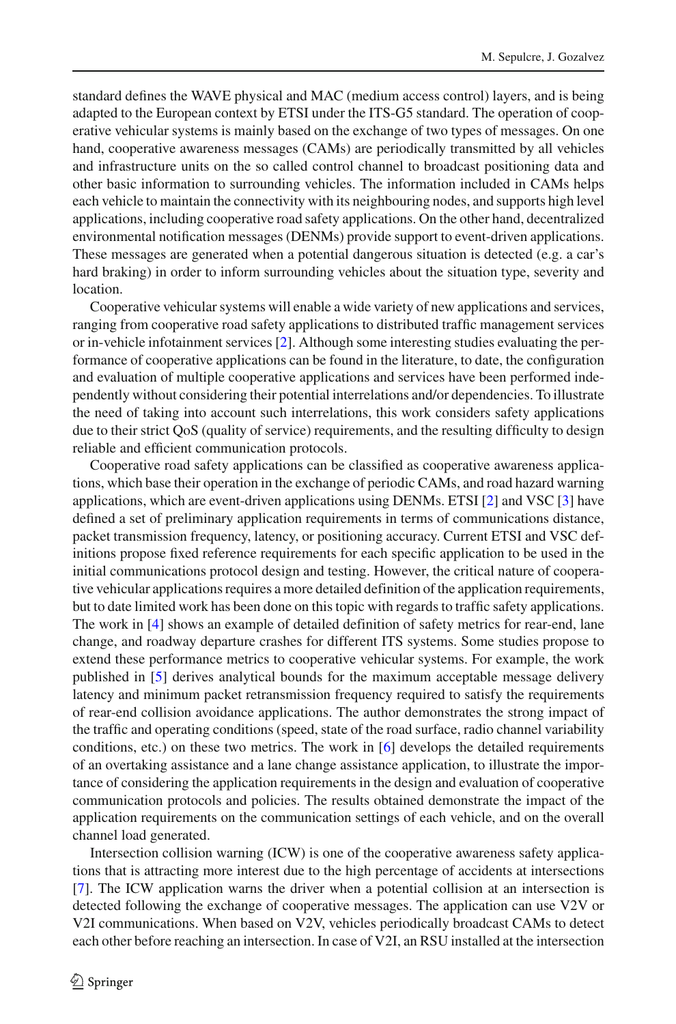standard defines the WAVE physical and MAC (medium access control) layers, and is being adapted to the European context by ETSI under the ITS-G5 standard. The operation of cooperative vehicular systems is mainly based on the exchange of two types of messages. On one hand, cooperative awareness messages (CAMs) are periodically transmitted by all vehicles and infrastructure units on the so called control channel to broadcast positioning data and other basic information to surrounding vehicles. The information included in CAMs helps each vehicle to maintain the connectivity with its neighbouring nodes, and supports high level applications, including cooperative road safety applications. On the other hand, decentralized environmental notification messages (DENMs) provide support to event-driven applications. These messages are generated when a potential dangerous situation is detected (e.g. a car's hard braking) in order to inform surrounding vehicles about the situation type, severity and location.

Cooperative vehicular systems will enable a wide variety of new applications and services, ranging from cooperative road safety applications to distributed traffic management services or in-vehicle infotainment services [\[2\]](#page-17-1). Although some interesting studies evaluating the performance of cooperative applications can be found in the literature, to date, the configuration and evaluation of multiple cooperative applications and services have been performed independently without considering their potential interrelations and/or dependencies. To illustrate the need of taking into account such interrelations, this work considers safety applications due to their strict QoS (quality of service) requirements, and the resulting difficulty to design reliable and efficient communication protocols.

Cooperative road safety applications can be classified as cooperative awareness applications, which base their operation in the exchange of periodic CAMs, and road hazard warning applications, which are event-driven applications using DENMs. ETSI [\[2](#page-17-1)] and VSC [\[3](#page-17-2)] have defined a set of preliminary application requirements in terms of communications distance, packet transmission frequency, latency, or positioning accuracy. Current ETSI and VSC definitions propose fixed reference requirements for each specific application to be used in the initial communications protocol design and testing. However, the critical nature of cooperative vehicular applications requires a more detailed definition of the application requirements, but to date limited work has been done on this topic with regards to traffic safety applications. The work in [\[4\]](#page-17-3) shows an example of detailed definition of safety metrics for rear-end, lane change, and roadway departure crashes for different ITS systems. Some studies propose to extend these performance metrics to cooperative vehicular systems. For example, the work published in [\[5\]](#page-18-0) derives analytical bounds for the maximum acceptable message delivery latency and minimum packet retransmission frequency required to satisfy the requirements of rear-end collision avoidance applications. The author demonstrates the strong impact of the traffic and operating conditions (speed, state of the road surface, radio channel variability conditions, etc.) on these two metrics. The work in [\[6](#page-18-1)] develops the detailed requirements of an overtaking assistance and a lane change assistance application, to illustrate the importance of considering the application requirements in the design and evaluation of cooperative communication protocols and policies. The results obtained demonstrate the impact of the application requirements on the communication settings of each vehicle, and on the overall channel load generated.

Intersection collision warning (ICW) is one of the cooperative awareness safety applications that is attracting more interest due to the high percentage of accidents at intersections [\[7](#page-18-2)]. The ICW application warns the driver when a potential collision at an intersection is detected following the exchange of cooperative messages. The application can use V2V or V2I communications. When based on V2V, vehicles periodically broadcast CAMs to detect each other before reaching an intersection. In case of V2I, an RSU installed at the intersection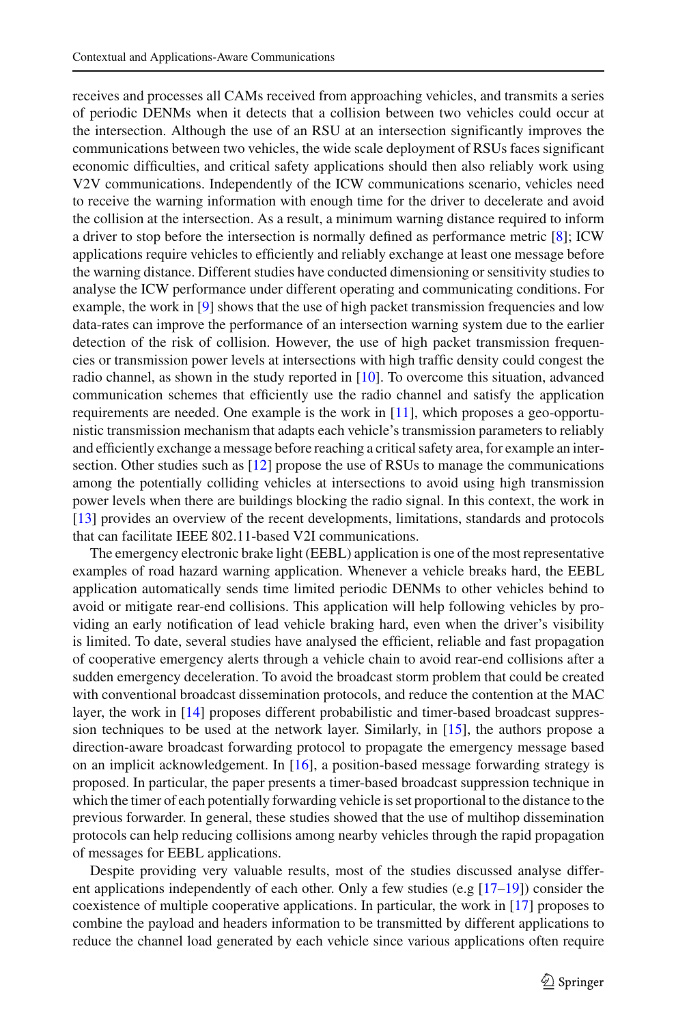receives and processes all CAMs received from approaching vehicles, and transmits a series of periodic DENMs when it detects that a collision between two vehicles could occur at the intersection. Although the use of an RSU at an intersection significantly improves the communications between two vehicles, the wide scale deployment of RSUs faces significant economic difficulties, and critical safety applications should then also reliably work using V2V communications. Independently of the ICW communications scenario, vehicles need to receive the warning information with enough time for the driver to decelerate and avoid the collision at the intersection. As a result, a minimum warning distance required to inform a driver to stop before the intersection is normally defined as performance metric [\[8](#page-18-3)]; ICW applications require vehicles to efficiently and reliably exchange at least one message before the warning distance. Different studies have conducted dimensioning or sensitivity studies to analyse the ICW performance under different operating and communicating conditions. For example, the work in [\[9](#page-18-4)] shows that the use of high packet transmission frequencies and low data-rates can improve the performance of an intersection warning system due to the earlier detection of the risk of collision. However, the use of high packet transmission frequencies or transmission power levels at intersections with high traffic density could congest the radio channel, as shown in the study reported in [\[10](#page-18-5)]. To overcome this situation, advanced communication schemes that efficiently use the radio channel and satisfy the application requirements are needed. One example is the work in [\[11](#page-18-6)], which proposes a geo-opportunistic transmission mechanism that adapts each vehicle's transmission parameters to reliably and efficiently exchange a message before reaching a critical safety area, for example an inter-section. Other studies such as [\[12\]](#page-18-7) propose the use of RSUs to manage the communications among the potentially colliding vehicles at intersections to avoid using high transmission power levels when there are buildings blocking the radio signal. In this context, the work in [\[13\]](#page-18-8) provides an overview of the recent developments, limitations, standards and protocols that can facilitate IEEE 802.11-based V2I communications.

The emergency electronic brake light (EEBL) application is one of the most representative examples of road hazard warning application. Whenever a vehicle breaks hard, the EEBL application automatically sends time limited periodic DENMs to other vehicles behind to avoid or mitigate rear-end collisions. This application will help following vehicles by providing an early notification of lead vehicle braking hard, even when the driver's visibility is limited. To date, several studies have analysed the efficient, reliable and fast propagation of cooperative emergency alerts through a vehicle chain to avoid rear-end collisions after a sudden emergency deceleration. To avoid the broadcast storm problem that could be created with conventional broadcast dissemination protocols, and reduce the contention at the MAC layer, the work in [\[14](#page-18-9)] proposes different probabilistic and timer-based broadcast suppression techniques to be used at the network layer. Similarly, in [\[15\]](#page-18-10), the authors propose a direction-aware broadcast forwarding protocol to propagate the emergency message based on an implicit acknowledgement. In [\[16\]](#page-18-11), a position-based message forwarding strategy is proposed. In particular, the paper presents a timer-based broadcast suppression technique in which the timer of each potentially forwarding vehicle is set proportional to the distance to the previous forwarder. In general, these studies showed that the use of multihop dissemination protocols can help reducing collisions among nearby vehicles through the rapid propagation of messages for EEBL applications.

Despite providing very valuable results, most of the studies discussed analyse different applications independently of each other. Only a few studies (e.g  $[17-19]$  $[17-19]$ ) consider the coexistence of multiple cooperative applications. In particular, the work in [\[17\]](#page-18-12) proposes to combine the payload and headers information to be transmitted by different applications to reduce the channel load generated by each vehicle since various applications often require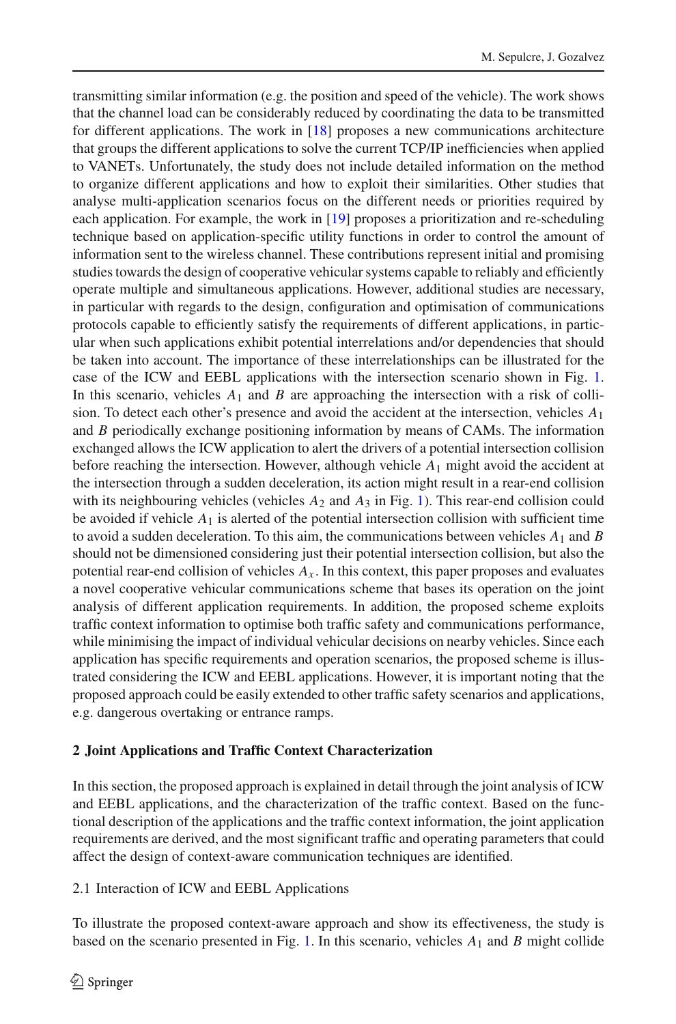transmitting similar information (e.g. the position and speed of the vehicle). The work shows that the channel load can be considerably reduced by coordinating the data to be transmitted for different applications. The work in [\[18\]](#page-18-14) proposes a new communications architecture that groups the different applications to solve the current TCP/IP inefficiencies when applied to VANETs. Unfortunately, the study does not include detailed information on the method to organize different applications and how to exploit their similarities. Other studies that analyse multi-application scenarios focus on the different needs or priorities required by each application. For example, the work in [\[19\]](#page-18-13) proposes a prioritization and re-scheduling technique based on application-specific utility functions in order to control the amount of information sent to the wireless channel. These contributions represent initial and promising studies towards the design of cooperative vehicular systems capable to reliably and efficiently operate multiple and simultaneous applications. However, additional studies are necessary, in particular with regards to the design, configuration and optimisation of communications protocols capable to efficiently satisfy the requirements of different applications, in particular when such applications exhibit potential interrelations and/or dependencies that should be taken into account. The importance of these interrelationships can be illustrated for the case of the ICW and EEBL applications with the intersection scenario shown in Fig. [1.](#page-4-0) In this scenario, vehicles  $A_1$  and  $B$  are approaching the intersection with a risk of collision. To detect each other's presence and avoid the accident at the intersection, vehicles *A*<sup>1</sup> and *B* periodically exchange positioning information by means of CAMs. The information exchanged allows the ICW application to alert the drivers of a potential intersection collision before reaching the intersection. However, although vehicle *A*<sup>1</sup> might avoid the accident at the intersection through a sudden deceleration, its action might result in a rear-end collision with its neighbouring vehicles (vehicles  $A_2$  and  $A_3$  in Fig. [1\)](#page-4-0). This rear-end collision could be avoided if vehicle  $A_1$  is alerted of the potential intersection collision with sufficient time to avoid a sudden deceleration. To this aim, the communications between vehicles  $A_1$  and  $B$ should not be dimensioned considering just their potential intersection collision, but also the potential rear-end collision of vehicles  $A<sub>x</sub>$ . In this context, this paper proposes and evaluates a novel cooperative vehicular communications scheme that bases its operation on the joint analysis of different application requirements. In addition, the proposed scheme exploits traffic context information to optimise both traffic safety and communications performance, while minimising the impact of individual vehicular decisions on nearby vehicles. Since each application has specific requirements and operation scenarios, the proposed scheme is illustrated considering the ICW and EEBL applications. However, it is important noting that the proposed approach could be easily extended to other traffic safety scenarios and applications, e.g. dangerous overtaking or entrance ramps.

# <span id="page-3-0"></span>**2 Joint Applications and Traffic Context Characterization**

In this section, the proposed approach is explained in detail through the joint analysis of ICW and EEBL applications, and the characterization of the traffic context. Based on the functional description of the applications and the traffic context information, the joint application requirements are derived, and the most significant traffic and operating parameters that could affect the design of context-aware communication techniques are identified.

2.1 Interaction of ICW and EEBL Applications

To illustrate the proposed context-aware approach and show its effectiveness, the study is based on the scenario presented in Fig. [1.](#page-4-0) In this scenario, vehicles *A*<sup>1</sup> and *B* might collide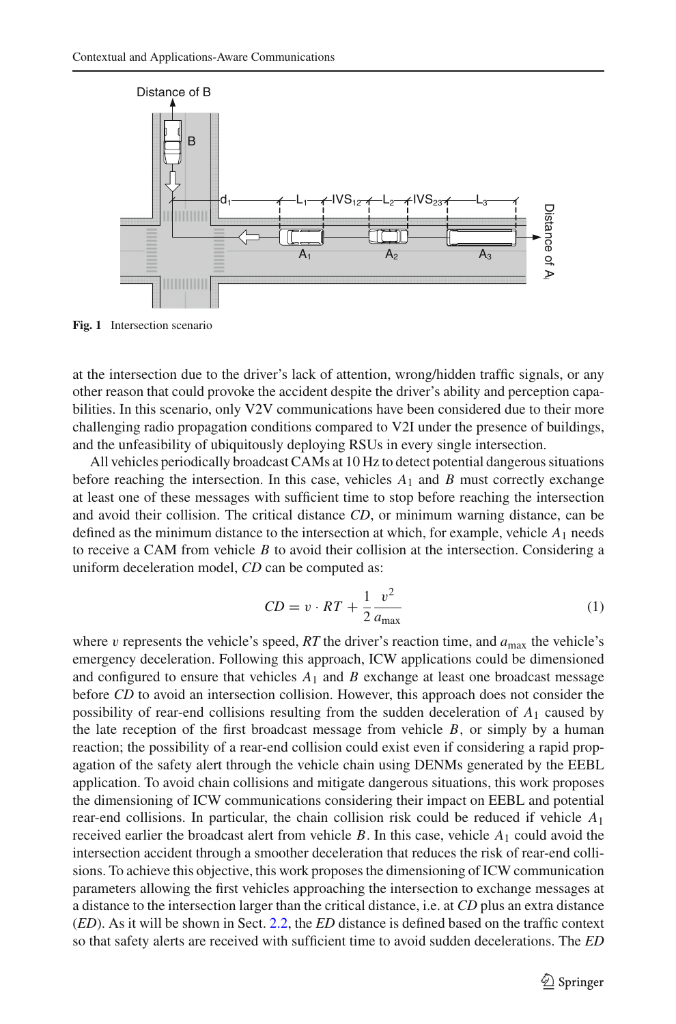

<span id="page-4-0"></span>**Fig. 1** Intersection scenario

at the intersection due to the driver's lack of attention, wrong/hidden traffic signals, or any other reason that could provoke the accident despite the driver's ability and perception capabilities. In this scenario, only V2V communications have been considered due to their more challenging radio propagation conditions compared to V2I under the presence of buildings, and the unfeasibility of ubiquitously deploying RSUs in every single intersection.

All vehicles periodically broadcast CAMs at 10 Hz to detect potential dangerous situations before reaching the intersection. In this case, vehicles  $A_1$  and  $B$  must correctly exchange at least one of these messages with sufficient time to stop before reaching the intersection and avoid their collision. The critical distance *CD*, or minimum warning distance, can be defined as the minimum distance to the intersection at which, for example, vehicle *A*<sup>1</sup> needs to receive a CAM from vehicle *B* to avoid their collision at the intersection. Considering a uniform deceleration model, *CD* can be computed as:

$$
CD = v \cdot RT + \frac{1}{2} \frac{v^2}{a_{\text{max}}} \tag{1}
$$

where v represents the vehicle's speed,  $RT$  the driver's reaction time, and  $a_{\text{max}}$  the vehicle's emergency deceleration. Following this approach, ICW applications could be dimensioned and configured to ensure that vehicles  $A_1$  and  $B$  exchange at least one broadcast message before *CD* to avoid an intersection collision. However, this approach does not consider the possibility of rear-end collisions resulting from the sudden deceleration of *A*<sup>1</sup> caused by the late reception of the first broadcast message from vehicle *B*, or simply by a human reaction; the possibility of a rear-end collision could exist even if considering a rapid propagation of the safety alert through the vehicle chain using DENMs generated by the EEBL application. To avoid chain collisions and mitigate dangerous situations, this work proposes the dimensioning of ICW communications considering their impact on EEBL and potential rear-end collisions. In particular, the chain collision risk could be reduced if vehicle *A*<sup>1</sup> received earlier the broadcast alert from vehicle  $B$ . In this case, vehicle  $A_1$  could avoid the intersection accident through a smoother deceleration that reduces the risk of rear-end collisions. To achieve this objective, this work proposes the dimensioning of ICW communication parameters allowing the first vehicles approaching the intersection to exchange messages at a distance to the intersection larger than the critical distance, i.e. at *CD* plus an extra distance (*ED*). As it will be shown in Sect. [2.2,](#page-6-0) the *ED* distance is defined based on the traffic context so that safety alerts are received with sufficient time to avoid sudden decelerations. The *ED*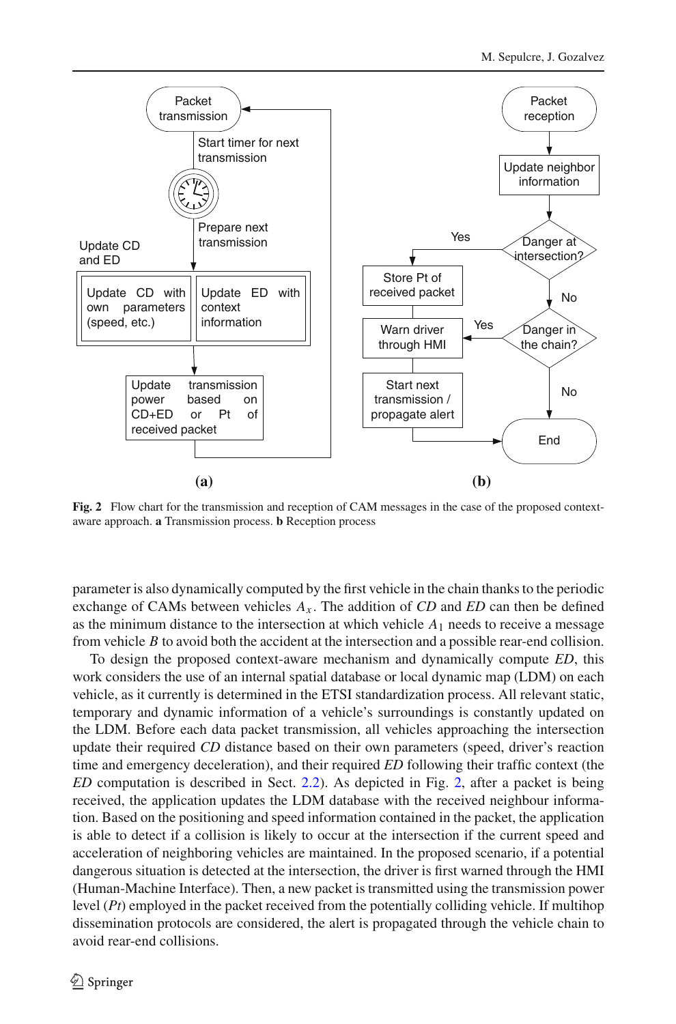

<span id="page-5-0"></span>**Fig. 2** Flow chart for the transmission and reception of CAM messages in the case of the proposed contextaware approach. **a** Transmission process. **b** Reception process

parameter is also dynamically computed by the first vehicle in the chain thanks to the periodic exchange of CAMs between vehicles  $A<sub>x</sub>$ . The addition of *CD* and *ED* can then be defined as the minimum distance to the intersection at which vehicle *A*<sup>1</sup> needs to receive a message from vehicle *B* to avoid both the accident at the intersection and a possible rear-end collision.

To design the proposed context-aware mechanism and dynamically compute *ED*, this work considers the use of an internal spatial database or local dynamic map (LDM) on each vehicle, as it currently is determined in the ETSI standardization process. All relevant static, temporary and dynamic information of a vehicle's surroundings is constantly updated on the LDM. Before each data packet transmission, all vehicles approaching the intersection update their required *CD* distance based on their own parameters (speed, driver's reaction time and emergency deceleration), and their required *ED* following their traffic context (the *ED* computation is described in Sect. [2.2\)](#page-6-0). As depicted in Fig. [2,](#page-5-0) after a packet is being received, the application updates the LDM database with the received neighbour information. Based on the positioning and speed information contained in the packet, the application is able to detect if a collision is likely to occur at the intersection if the current speed and acceleration of neighboring vehicles are maintained. In the proposed scenario, if a potential dangerous situation is detected at the intersection, the driver is first warned through the HMI (Human-Machine Interface). Then, a new packet is transmitted using the transmission power level (*Pt*) employed in the packet received from the potentially colliding vehicle. If multihop dissemination protocols are considered, the alert is propagated through the vehicle chain to avoid rear-end collisions.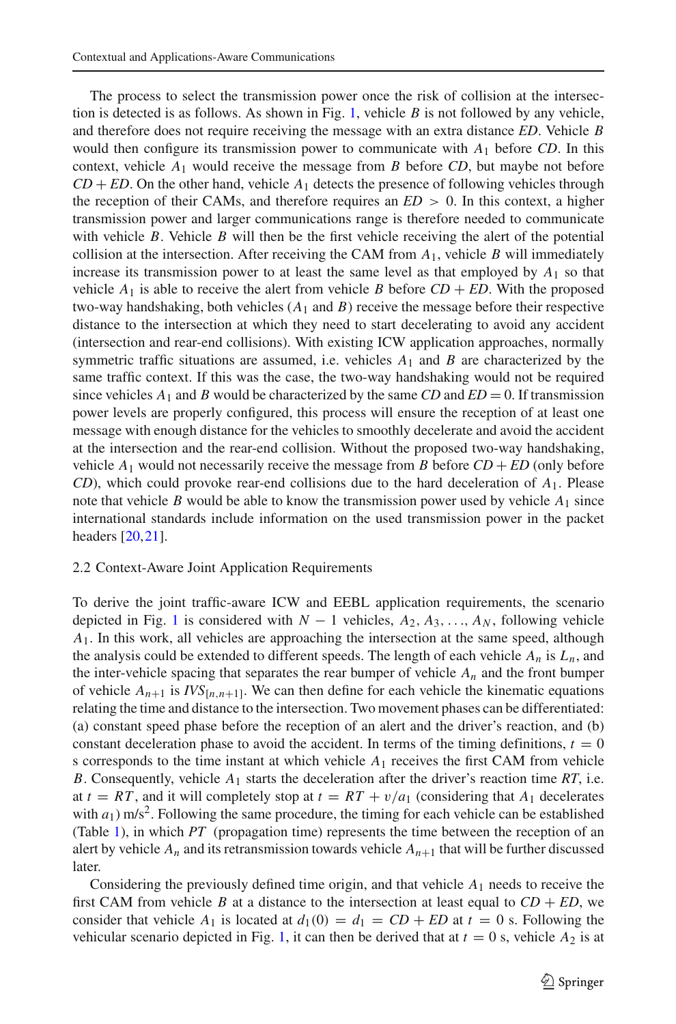The process to select the transmission power once the risk of collision at the intersection is detected is as follows. As shown in Fig. [1,](#page-4-0) vehicle *B* is not followed by any vehicle, and therefore does not require receiving the message with an extra distance *ED*. Vehicle *B* would then configure its transmission power to communicate with *A*<sup>1</sup> before *CD*. In this context, vehicle  $A_1$  would receive the message from *B* before *CD*, but maybe not before  $CD + ED$ . On the other hand, vehicle  $A_1$  detects the presence of following vehicles through the reception of their CAMs, and therefore requires an  $ED > 0$ . In this context, a higher transmission power and larger communications range is therefore needed to communicate with vehicle *B*. Vehicle *B* will then be the first vehicle receiving the alert of the potential collision at the intersection. After receiving the CAM from *A*1, vehicle *B* will immediately increase its transmission power to at least the same level as that employed by  $A_1$  so that vehicle  $A_1$  is able to receive the alert from vehicle *B* before  $CD + ED$ . With the proposed two-way handshaking, both vehicles (*A*<sup>1</sup> and *B*) receive the message before their respective distance to the intersection at which they need to start decelerating to avoid any accident (intersection and rear-end collisions). With existing ICW application approaches, normally symmetric traffic situations are assumed, i.e. vehicles  $A_1$  and  $B$  are characterized by the same traffic context. If this was the case, the two-way handshaking would not be required since vehicles  $A_1$  and *B* would be characterized by the same *CD* and  $ED = 0$ . If transmission power levels are properly configured, this process will ensure the reception of at least one message with enough distance for the vehicles to smoothly decelerate and avoid the accident at the intersection and the rear-end collision. Without the proposed two-way handshaking, vehicle  $A_1$  would not necessarily receive the message from *B* before  $CD + ED$  (only before *CD*), which could provoke rear-end collisions due to the hard deceleration of *A*1. Please note that vehicle *B* would be able to know the transmission power used by vehicle *A*<sup>1</sup> since international standards include information on the used transmission power in the packet headers [\[20](#page-18-15)[,21\]](#page-18-16).

## <span id="page-6-0"></span>2.2 Context-Aware Joint Application Requirements

To derive the joint traffic-aware ICW and EEBL application requirements, the scenario depicted in Fig. [1](#page-4-0) is considered with  $N-1$  vehicles,  $A_2, A_3, \ldots, A_N$ , following vehicle *A*1. In this work, all vehicles are approaching the intersection at the same speed, although the analysis could be extended to different speeds. The length of each vehicle  $A_n$  is  $L_n$ , and the inter-vehicle spacing that separates the rear bumper of vehicle  $A_n$  and the front bumper of vehicle  $A_{n+1}$  is  $IVS_{[n,n+1]}$ . We can then define for each vehicle the kinematic equations relating the time and distance to the intersection. Two movement phases can be differentiated: (a) constant speed phase before the reception of an alert and the driver's reaction, and (b) constant deceleration phase to avoid the accident. In terms of the timing definitions,  $t = 0$ s corresponds to the time instant at which vehicle *A*<sup>1</sup> receives the first CAM from vehicle *B*. Consequently, vehicle *A*<sup>1</sup> starts the deceleration after the driver's reaction time *RT*, i.e. at  $t = RT$ , and it will completely stop at  $t = RT + v/a_1$  (considering that  $A_1$  decelerates with  $a_1$ ) m/s<sup>2</sup>. Following the same procedure, the timing for each vehicle can be established (Table [1\)](#page-7-0), in which *PT* (propagation time) represents the time between the reception of an alert by vehicle  $A_n$  and its retransmission towards vehicle  $A_{n+1}$  that will be further discussed later.

Considering the previously defined time origin, and that vehicle *A*<sup>1</sup> needs to receive the first CAM from vehicle *B* at a distance to the intersection at least equal to  $CD + ED$ , we consider that vehicle  $A_1$  is located at  $d_1(0) = d_1 = CD + ED$  at  $t = 0$  s. Following the vehicular scenario depicted in Fig. [1,](#page-4-0) it can then be derived that at  $t = 0$  s, vehicle  $A_2$  is at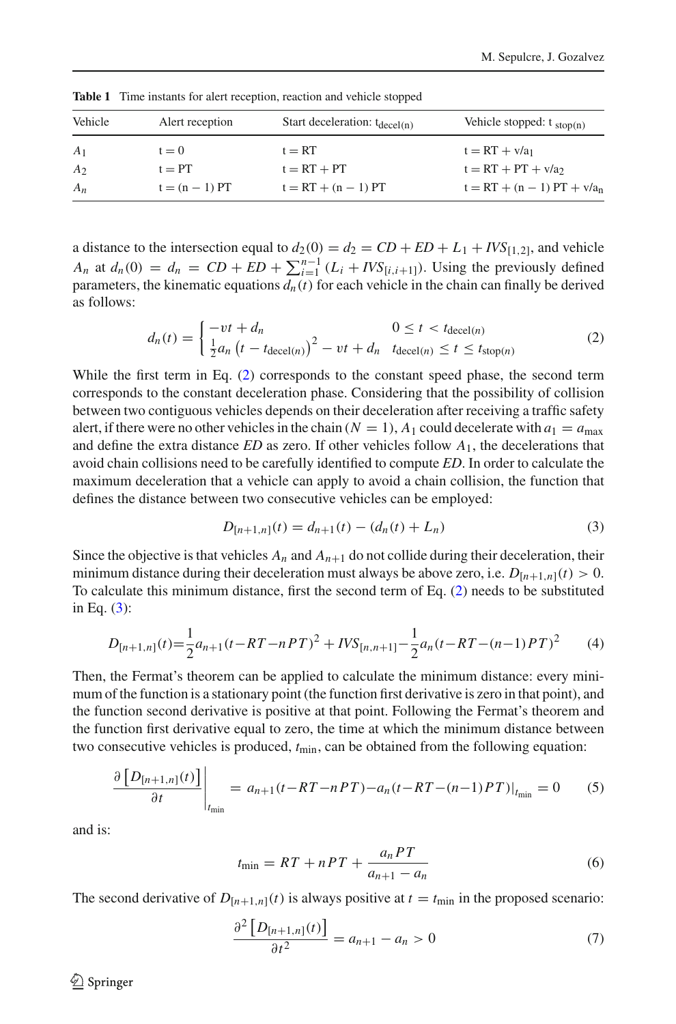<span id="page-7-0"></span>

| Vehicle        | Alert reception  | Start deceleration: $t_{\text{decel}(n)}$ | Vehicle stopped: $t_{stop(n)}$ |
|----------------|------------------|-------------------------------------------|--------------------------------|
| A <sub>1</sub> | $t = 0$          | $t = RT$                                  | $t = RT + v/a_1$               |
| A <sub>2</sub> | $t = PT$         | $t = RT + PT$                             | $t = RT + PT + v/a$            |
| $A_n$          | $t = (n - 1) PT$ | $t = RT + (n - 1) PT$                     | $t = RT + (n - 1) PT + v/a_n$  |

**Table 1** Time instants for alert reception, reaction and vehicle stopped

a distance to the intersection equal to  $d_2(0) = d_2 = CD + ED + L_1 + IVS_{[1,2]}$ , and vehicle *A<sub>n</sub>* at  $d_n(0) = d_n = CD + ED + \sum_{i=1}^{n-1} (L_i + IVS_{[i,i+1]}).$  Using the previously defined parameters, the kinematic equations  $d_n(t)$  for each vehicle in the chain can finally be derived as follows:

$$
d_n(t) = \begin{cases} -vt + d_n & 0 \le t < t_{\text{decel}(n)} \\ \frac{1}{2}a_n \left(t - t_{\text{decel}(n)}\right)^2 - vt + d_n & t_{\text{decel}(n)} \le t \le t_{\text{stop}(n)} \end{cases}
$$
(2)

<span id="page-7-1"></span>While the first term in Eq. [\(2\)](#page-7-1) corresponds to the constant speed phase, the second term corresponds to the constant deceleration phase. Considering that the possibility of collision between two contiguous vehicles depends on their deceleration after receiving a traffic safety alert, if there were no other vehicles in the chain  $(N = 1)$ ,  $A_1$  could decelerate with  $a_1 = a_{\text{max}}$ and define the extra distance *ED* as zero. If other vehicles follow *A*1, the decelerations that avoid chain collisions need to be carefully identified to compute *ED*. In order to calculate the maximum deceleration that a vehicle can apply to avoid a chain collision, the function that defines the distance between two consecutive vehicles can be employed:

$$
D_{[n+1,n]}(t) = d_{n+1}(t) - (d_n(t) + L_n)
$$
\n(3)

<span id="page-7-2"></span>Since the objective is that vehicles  $A_n$  and  $A_{n+1}$  do not collide during their deceleration, their minimum distance during their deceleration must always be above zero, i.e.  $D_{[n+1,n]}(t) > 0$ . To calculate this minimum distance, first the second term of Eq. [\(2\)](#page-7-1) needs to be substituted in Eq. [\(3\)](#page-7-2):

$$
D_{[n+1,n]}(t) = \frac{1}{2}a_{n+1}(t - RT - nPT)^2 + IVS_{[n,n+1]} - \frac{1}{2}a_n(t - RT - (n-1)PT)^2
$$
 (4)

<span id="page-7-4"></span>Then, the Fermat's theorem can be applied to calculate the minimum distance: every minimum of the function is a stationary point (the function first derivative is zero in that point), and the function second derivative is positive at that point. Following the Fermat's theorem and the function first derivative equal to zero, the time at which the minimum distance between two consecutive vehicles is produced, *t*min, can be obtained from the following equation:

$$
\frac{\partial \left[D_{[n+1,n]}(t)\right]}{\partial t}\Big|_{t_{\min}} = a_{n+1}(t - RT - nPT) - a_n(t - RT - (n-1)PT)|_{t_{\min}} = 0 \tag{5}
$$

<span id="page-7-3"></span>and is:

$$
t_{\min} = RT + nPT + \frac{a_n PT}{a_{n+1} - a_n} \tag{6}
$$

The second derivative of  $D_{[n+1,n]}(t)$  is always positive at  $t = t_{\text{min}}$  in the proposed scenario:

$$
\frac{\partial^2 \left[ D_{[n+1,n]}(t) \right]}{\partial t^2} = a_{n+1} - a_n > 0 \tag{7}
$$

 $\circledcirc$  Springer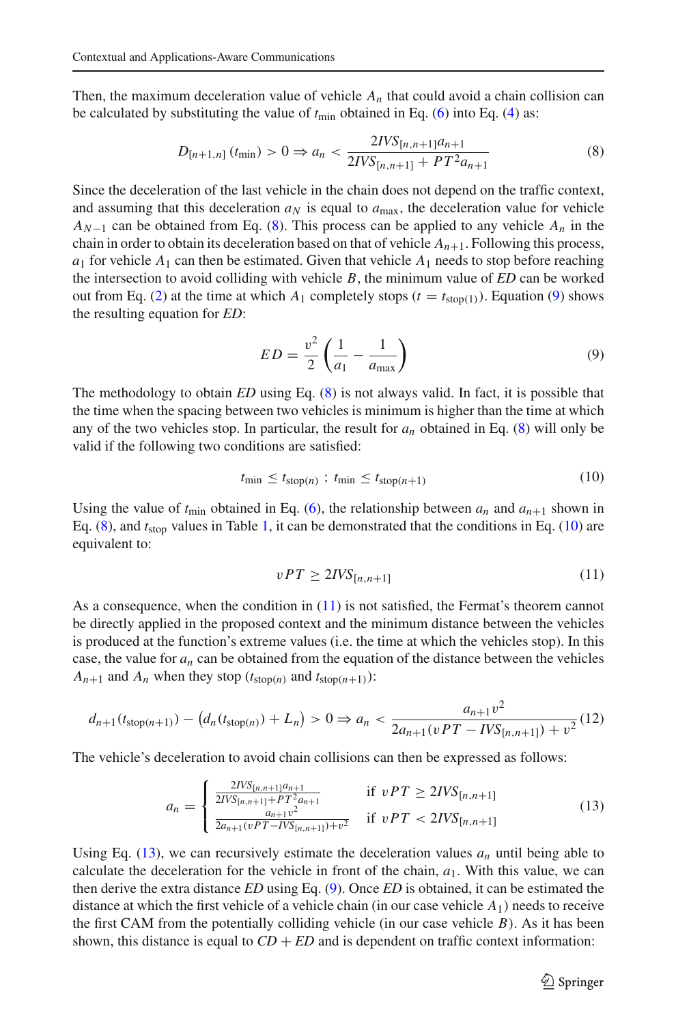Then, the maximum deceleration value of vehicle  $A_n$  that could avoid a chain collision can be calculated by substituting the value of  $t_{\text{min}}$  obtained in Eq. [\(6\)](#page-7-3) into Eq. [\(4\)](#page-7-4) as:

$$
D_{[n+1,n]}(t_{\min}) > 0 \Rightarrow a_n < \frac{2IVS_{[n,n+1]}a_{n+1}}{2IVS_{[n,n+1]} + PT^2 a_{n+1}}
$$
(8)

<span id="page-8-0"></span>Since the deceleration of the last vehicle in the chain does not depend on the traffic context, and assuming that this deceleration  $a_N$  is equal to  $a_{\text{max}}$ , the deceleration value for vehicle *A<sub>N−1</sub>* can be obtained from Eq. [\(8\)](#page-8-0). This process can be applied to any vehicle *A<sub>n</sub>* in the chain in order to obtain its deceleration based on that of vehicle  $A_{n+1}$ . Following this process,  $a_1$  for vehicle  $A_1$  can then be estimated. Given that vehicle  $A_1$  needs to stop before reaching the intersection to avoid colliding with vehicle *B*, the minimum value of *ED* can be worked out from Eq. [\(2\)](#page-7-1) at the time at which  $A_1$  completely stops ( $t = t_{stop(1)}$ ). Equation [\(9\)](#page-8-1) shows the resulting equation for *ED*:

$$
ED = \frac{v^2}{2} \left( \frac{1}{a_1} - \frac{1}{a_{\text{max}}} \right)
$$
 (9)

<span id="page-8-1"></span>The methodology to obtain *ED* using Eq. [\(8\)](#page-8-0) is not always valid. In fact, it is possible that the time when the spacing between two vehicles is minimum is higher than the time at which any of the two vehicles stop. In particular, the result for *an* obtained in Eq. [\(8\)](#page-8-0) will only be valid if the following two conditions are satisfied:

$$
t_{\min} \le t_{\text{stop}(n)} \; ; \; t_{\min} \le t_{\text{stop}(n+1)} \tag{10}
$$

<span id="page-8-2"></span>Using the value of  $t_{\text{min}}$  obtained in Eq. [\(6\)](#page-7-3), the relationship between  $a_n$  and  $a_{n+1}$  shown in Eq.  $(8)$ , and  $t_{\text{stop}}$  values in Table [1,](#page-7-0) it can be demonstrated that the conditions in Eq.  $(10)$  are equivalent to:

$$
vPT \ge 2IVS_{[n,n+1]}
$$
 (11)

<span id="page-8-3"></span>As a consequence, when the condition in [\(11\)](#page-8-3) is not satisfied, the Fermat's theorem cannot be directly applied in the proposed context and the minimum distance between the vehicles is produced at the function's extreme values (i.e. the time at which the vehicles stop). In this case, the value for  $a_n$  can be obtained from the equation of the distance between the vehicles  $A_{n+1}$  and  $A_n$  when they stop ( $t_{\text{stop}(n)}$  and  $t_{\text{stop}(n+1)}$ ):

$$
d_{n+1}(t_{\text{stop}(n+1)}) - \left(d_n(t_{\text{stop}(n)}) + L_n\right) > 0 \Rightarrow a_n < \frac{a_{n+1}v^2}{2a_{n+1}(vPT - IVS_{[n,n+1]}) + v^2}(12)
$$

<span id="page-8-4"></span>The vehicle's deceleration to avoid chain collisions can then be expressed as follows:

$$
a_n = \begin{cases} \frac{2IVS_{[n,n+1]}a_{n+1}}{2IVS_{[n,n+1]} + PT^2 a_{n+1}} & \text{if } vPT \ge 2IVS_{[n,n+1]}\\ \frac{a_{n+1}v^2}{2a_{n+1}(vPT - IVS_{[n,n+1]}) + v^2} & \text{if } vPT < 2IVS_{[n,n+1]} \end{cases} \tag{13}
$$

Using Eq.  $(13)$ , we can recursively estimate the deceleration values  $a_n$  until being able to calculate the deceleration for the vehicle in front of the chain,  $a_1$ . With this value, we can then derive the extra distance *ED* using Eq. [\(9\)](#page-8-1). Once *ED* is obtained, it can be estimated the distance at which the first vehicle of a vehicle chain (in our case vehicle *A*1) needs to receive the first CAM from the potentially colliding vehicle (in our case vehicle *B*). As it has been shown, this distance is equal to  $CD + ED$  and is dependent on traffic context information: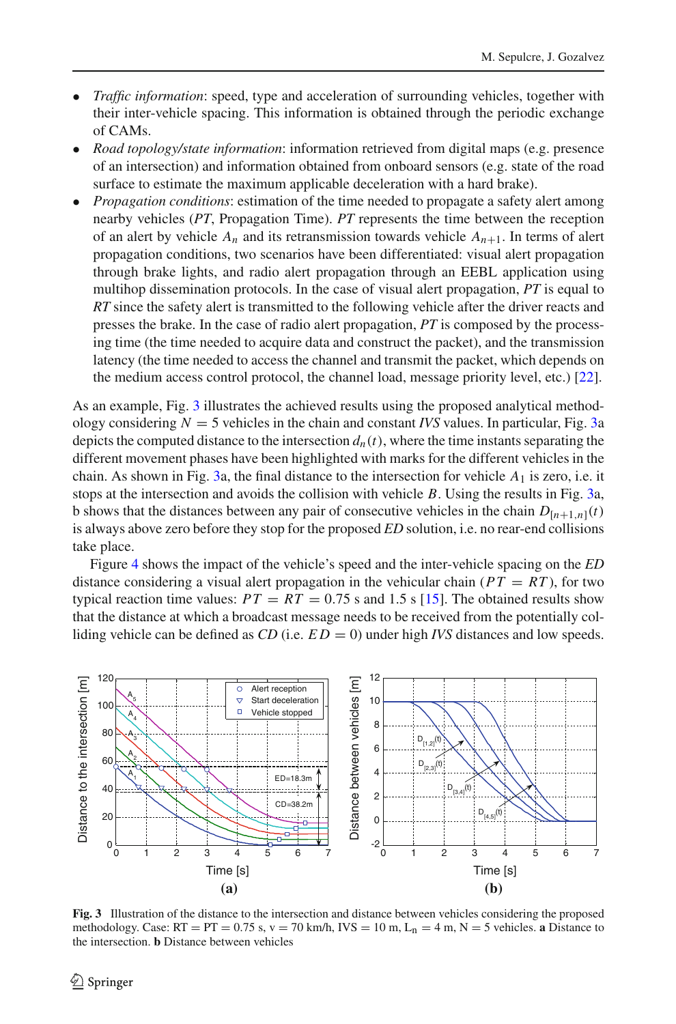- *Traffic information*: speed, type and acceleration of surrounding vehicles, together with their inter-vehicle spacing. This information is obtained through the periodic exchange of CAMs.
- *Road topology/state information*: information retrieved from digital maps (e.g. presence of an intersection) and information obtained from onboard sensors (e.g. state of the road surface to estimate the maximum applicable deceleration with a hard brake).
- *Propagation conditions*: estimation of the time needed to propagate a safety alert among nearby vehicles (*PT*, Propagation Time). *PT* represents the time between the reception of an alert by vehicle  $A_n$  and its retransmission towards vehicle  $A_{n+1}$ . In terms of alert propagation conditions, two scenarios have been differentiated: visual alert propagation through brake lights, and radio alert propagation through an EEBL application using multihop dissemination protocols. In the case of visual alert propagation, *PT* is equal to *RT* since the safety alert is transmitted to the following vehicle after the driver reacts and presses the brake. In the case of radio alert propagation, *PT* is composed by the processing time (the time needed to acquire data and construct the packet), and the transmission latency (the time needed to access the channel and transmit the packet, which depends on the medium access control protocol, the channel load, message priority level, etc.) [\[22](#page-18-17)].

As an example, Fig. [3](#page-9-0) illustrates the achieved results using the proposed analytical methodology considering  $N = 5$  vehicles in the chain and constant *IVS* values. In particular, Fig. [3a](#page-9-0) depicts the computed distance to the intersection  $d_n(t)$ , where the time instants separating the different movement phases have been highlighted with marks for the different vehicles in the chain. As shown in Fig. [3a](#page-9-0), the final distance to the intersection for vehicle  $A_1$  is zero, i.e. it stops at the intersection and avoids the collision with vehicle *B*. Using the results in Fig. [3a](#page-9-0), b shows that the distances between any pair of consecutive vehicles in the chain  $D_{[n+1,n]}(t)$ is always above zero before they stop for the proposed *ED* solution, i.e. no rear-end collisions take place.

Figure [4](#page-10-0) shows the impact of the vehicle's speed and the inter-vehicle spacing on the *ED* distance considering a visual alert propagation in the vehicular chain ( $PT = RT$ ), for two typical reaction time values:  $PT = RT = 0.75$  s and 1.5 s [\[15\]](#page-18-10). The obtained results show that the distance at which a broadcast message needs to be received from the potentially colliding vehicle can be defined as  $CD$  (i.e.  $ED = 0$ ) under high *IVS* distances and low speeds.



<span id="page-9-0"></span>**Fig. 3** Illustration of the distance to the intersection and distance between vehicles considering the proposed methodology. Case:  $RT = PT = 0.75$  s,  $v = 70$  km/h,  $IVS = 10$  m,  $L_n = 4$  m,  $N = 5$  vehicles. **a** Distance to the intersection. **b** Distance between vehicles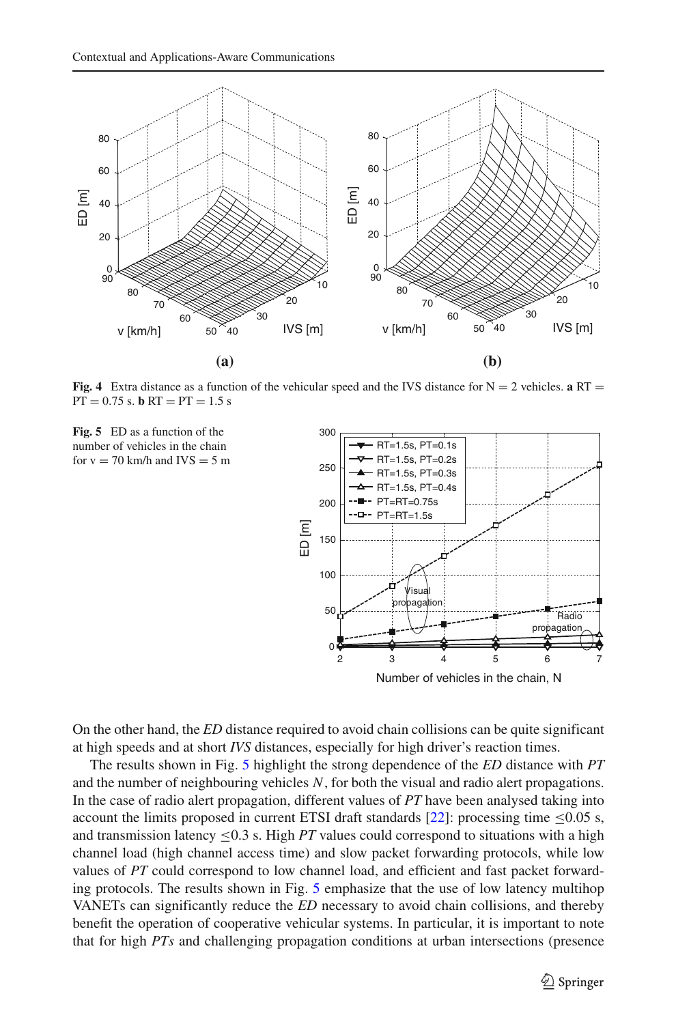

**Fig. 4** Extra distance as a function of the vehicular speed and the IVS distance for  $N = 2$  vehicles. **a** RT =  $PT = 0.75$  s. **b**  $RT = PT = 1.5$  s

<span id="page-10-1"></span><span id="page-10-0"></span>



On the other hand, the *ED* distance required to avoid chain collisions can be quite significant at high speeds and at short *IVS* distances, especially for high driver's reaction times.

The results shown in Fig. [5](#page-10-1) highlight the strong dependence of the *ED* distance with *PT* and the number of neighbouring vehicles *N*, for both the visual and radio alert propagations. In the case of radio alert propagation, different values of *PT* have been analysed taking into account the limits proposed in current ETSI draft standards [\[22](#page-18-17)]: processing time  $\leq 0.05$  s, and transmission latency  $\leq 0.3$  s. High *PT* values could correspond to situations with a high channel load (high channel access time) and slow packet forwarding protocols, while low values of *PT* could correspond to low channel load, and efficient and fast packet forwarding protocols. The results shown in Fig. [5](#page-10-1) emphasize that the use of low latency multihop VANETs can significantly reduce the *ED* necessary to avoid chain collisions, and thereby benefit the operation of cooperative vehicular systems. In particular, it is important to note that for high *PTs* and challenging propagation conditions at urban intersections (presence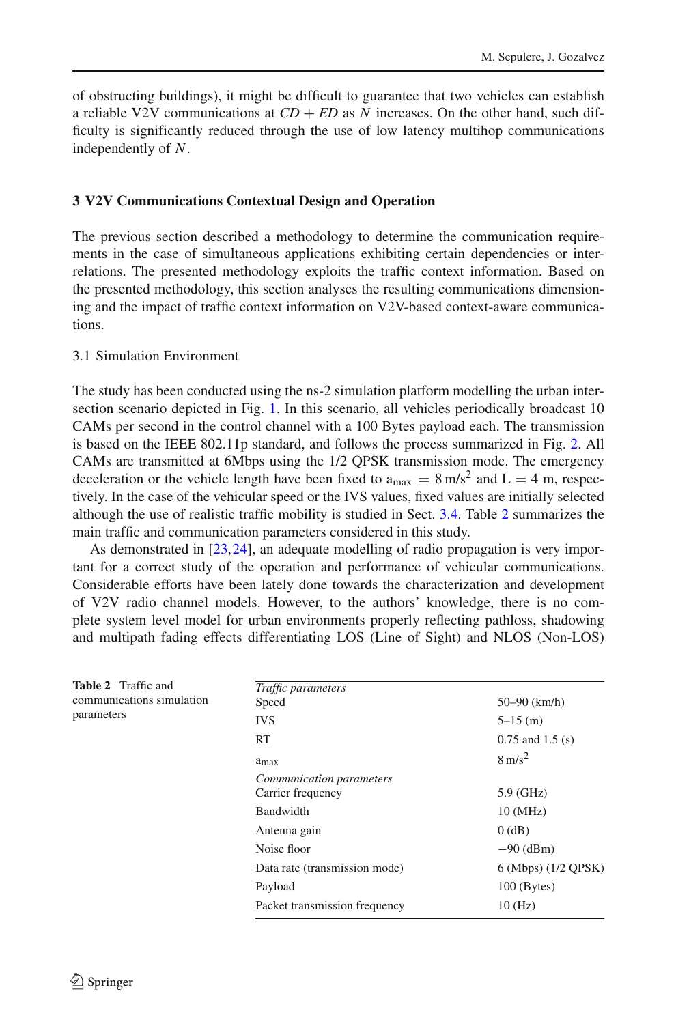of obstructing buildings), it might be difficult to guarantee that two vehicles can establish a reliable V2V communications at  $CD + ED$  as N increases. On the other hand, such difficulty is significantly reduced through the use of low latency multihop communications independently of *N*.

## **3 V2V Communications Contextual Design and Operation**

The previous section described a methodology to determine the communication requirements in the case of simultaneous applications exhibiting certain dependencies or interrelations. The presented methodology exploits the traffic context information. Based on the presented methodology, this section analyses the resulting communications dimensioning and the impact of traffic context information on V2V-based context-aware communications.

## 3.1 Simulation Environment

The study has been conducted using the ns-2 simulation platform modelling the urban inter-section scenario depicted in Fig. [1.](#page-4-0) In this scenario, all vehicles periodically broadcast 10 CAMs per second in the control channel with a 100 Bytes payload each. The transmission is based on the IEEE 802.11p standard, and follows the process summarized in Fig. [2.](#page-5-0) All CAMs are transmitted at 6Mbps using the 1/2 QPSK transmission mode. The emergency deceleration or the vehicle length have been fixed to  $a_{max} = 8$  m/s<sup>2</sup> and L = 4 m, respectively. In the case of the vehicular speed or the IVS values, fixed values are initially selected although the use of realistic traffic mobility is studied in Sect. [3.4.](#page-15-0) Table [2](#page-11-0) summarizes the main traffic and communication parameters considered in this study.

As demonstrated in [\[23](#page-18-18)[,24\]](#page-18-19), an adequate modelling of radio propagation is very important for a correct study of the operation and performance of vehicular communications. Considerable efforts have been lately done towards the characterization and development of V2V radio channel models. However, to the authors' knowledge, there is no complete system level model for urban environments properly reflecting pathloss, shadowing and multipath fading effects differentiating LOS (Line of Sight) and NLOS (Non-LOS)

<span id="page-11-0"></span>

| <b>Table 2</b> Traffic and              | Traffic parameters            |                      |  |
|-----------------------------------------|-------------------------------|----------------------|--|
| communications simulation<br>parameters | Speed                         | $50 - 90$ (km/h)     |  |
|                                         | <b>IVS</b>                    | $5-15$ (m)           |  |
|                                         | <b>RT</b>                     | $0.75$ and $1.5$ (s) |  |
|                                         | $a_{max}$                     | $8 \text{ m/s}^2$    |  |
|                                         | Communication parameters      |                      |  |
|                                         | Carrier frequency             | $5.9$ (GHz)          |  |
|                                         | Bandwidth                     | $10 \, (\text{MHz})$ |  |
|                                         | Antenna gain                  | $0$ (dB)             |  |
|                                         | Noise floor                   | $-90$ (dBm)          |  |
|                                         | Data rate (transmission mode) | 6 (Mbps) (1/2 QPSK)  |  |
|                                         | Payload                       | $100$ (Bytes)        |  |
|                                         | Packet transmission frequency | $10$ (Hz)            |  |
|                                         |                               |                      |  |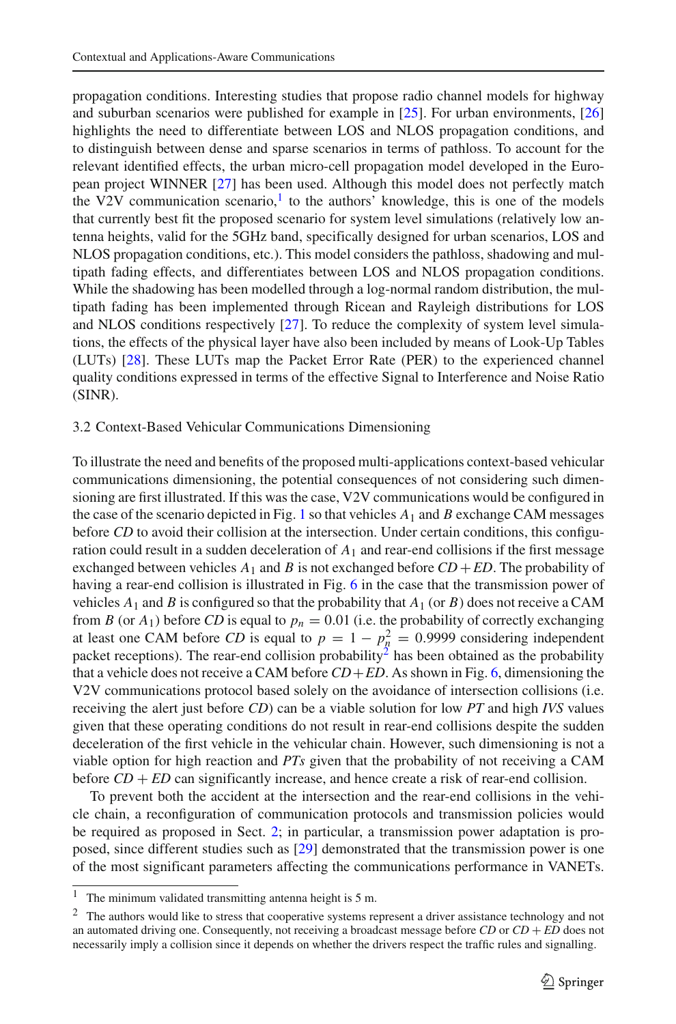propagation conditions. Interesting studies that propose radio channel models for highway and suburban scenarios were published for example in [\[25](#page-18-20)]. For urban environments, [\[26\]](#page-18-21) highlights the need to differentiate between LOS and NLOS propagation conditions, and to distinguish between dense and sparse scenarios in terms of pathloss. To account for the relevant identified effects, the urban micro-cell propagation model developed in the European project WINNER [\[27\]](#page-18-22) has been used. Although this model does not perfectly match the V2V communication scenario, $\frac{1}{1}$  to the authors' knowledge, this is one of the models that currently best fit the proposed scenario for system level simulations (relatively low antenna heights, valid for the 5GHz band, specifically designed for urban scenarios, LOS and NLOS propagation conditions, etc.). This model considers the pathloss, shadowing and multipath fading effects, and differentiates between LOS and NLOS propagation conditions. While the shadowing has been modelled through a log-normal random distribution, the multipath fading has been implemented through Ricean and Rayleigh distributions for LOS and NLOS conditions respectively [\[27\]](#page-18-22). To reduce the complexity of system level simulations, the effects of the physical layer have also been included by means of Look-Up Tables (LUTs) [\[28\]](#page-18-23). These LUTs map the Packet Error Rate (PER) to the experienced channel quality conditions expressed in terms of the effective Signal to Interference and Noise Ratio (SINR).

## 3.2 Context-Based Vehicular Communications Dimensioning

To illustrate the need and benefits of the proposed multi-applications context-based vehicular communications dimensioning, the potential consequences of not considering such dimensioning are first illustrated. If this was the case, V2V communications would be configured in the case of the scenario depicted in Fig. [1](#page-4-0) so that vehicles *A*<sup>1</sup> and *B* exchange CAM messages before *CD* to avoid their collision at the intersection. Under certain conditions, this configuration could result in a sudden deceleration of *A*<sup>1</sup> and rear-end collisions if the first message exchanged between vehicles  $A_1$  and  $B$  is not exchanged before  $CD + ED$ . The probability of having a rear-end collision is illustrated in Fig. [6](#page-13-0) in the case that the transmission power of vehicles  $A_1$  and  $B$  is configured so that the probability that  $A_1$  (or  $B$ ) does not receive a CAM from *B* (or  $A_1$ ) before *CD* is equal to  $p_n = 0.01$  (i.e. the probability of correctly exchanging at least one CAM before *CD* is equal to  $p = 1 - p_n^2 = 0.9999$  considering independent packet receptions). The rear-end collision probability<sup>2</sup> has been obtained as the probability that a vehicle does not receive a CAM before  $CD + ED$ . As shown in Fig. [6,](#page-13-0) dimensioning the V2V communications protocol based solely on the avoidance of intersection collisions (i.e. receiving the alert just before *CD*) can be a viable solution for low *PT* and high *IVS* values given that these operating conditions do not result in rear-end collisions despite the sudden deceleration of the first vehicle in the vehicular chain. However, such dimensioning is not a viable option for high reaction and *PTs* given that the probability of not receiving a CAM before  $CD + ED$  can significantly increase, and hence create a risk of rear-end collision.

To prevent both the accident at the intersection and the rear-end collisions in the vehicle chain, a reconfiguration of communication protocols and transmission policies would be required as proposed in Sect. [2;](#page-3-0) in particular, a transmission power adaptation is proposed, since different studies such as [\[29\]](#page-19-0) demonstrated that the transmission power is one of the most significant parameters affecting the communications performance in VANETs.

<sup>&</sup>lt;sup>1</sup> The minimum validated transmitting antenna height is 5 m.

<span id="page-12-1"></span><span id="page-12-0"></span><sup>&</sup>lt;sup>2</sup> The authors would like to stress that cooperative systems represent a driver assistance technology and not an automated driving one. Consequently, not receiving a broadcast message before *CD* or *CD* + *ED* does not necessarily imply a collision since it depends on whether the drivers respect the traffic rules and signalling.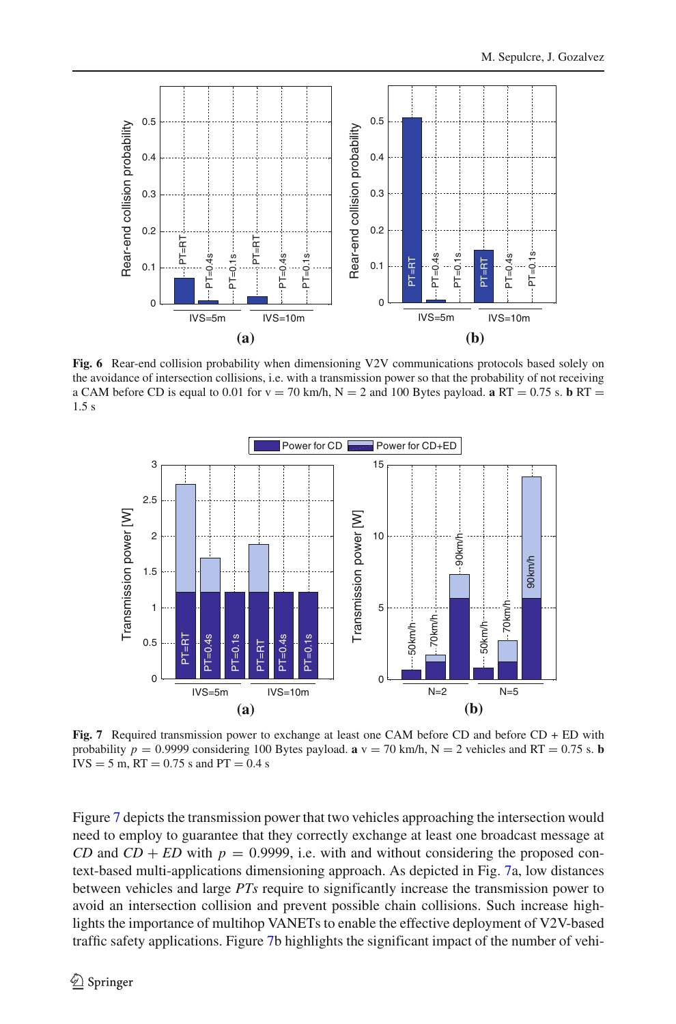

<span id="page-13-0"></span>**Fig. 6** Rear-end collision probability when dimensioning V2V communications protocols based solely on the avoidance of intersection collisions, i.e. with a transmission power so that the probability of not receiving a CAM before CD is equal to 0.01 for  $v = 70$  km/h,  $N = 2$  and 100 Bytes payload. **a** RT = 0.75 s. **b** RT = 1.5 s



<span id="page-13-1"></span>**Fig. 7** Required transmission power to exchange at least one CAM before CD and before CD + ED with probability  $p = 0.9999$  considering 100 Bytes payload. **a**  $v = 70$  km/h, N = 2 vehicles and RT = 0.75 s. **b**  $IVS = 5$  m,  $RT = 0.75$  s and  $PT = 0.4$  s

Figure [7](#page-13-1) depicts the transmission power that two vehicles approaching the intersection would need to employ to guarantee that they correctly exchange at least one broadcast message at *CD* and  $CD + ED$  with  $p = 0.9999$ , i.e. with and without considering the proposed context-based multi-applications dimensioning approach. As depicted in Fig. [7a](#page-13-1), low distances between vehicles and large *PTs* require to significantly increase the transmission power to avoid an intersection collision and prevent possible chain collisions. Such increase highlights the importance of multihop VANETs to enable the effective deployment of V2V-based traffic safety applications. Figure [7b](#page-13-1) highlights the significant impact of the number of vehi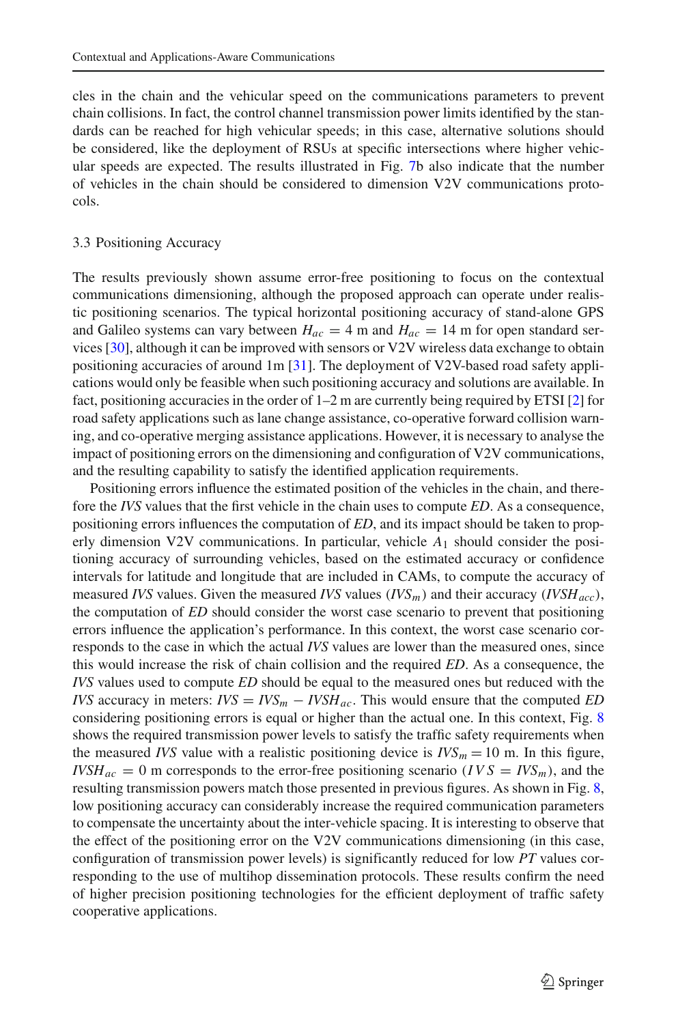cles in the chain and the vehicular speed on the communications parameters to prevent chain collisions. In fact, the control channel transmission power limits identified by the standards can be reached for high vehicular speeds; in this case, alternative solutions should be considered, like the deployment of RSUs at specific intersections where higher vehicular speeds are expected. The results illustrated in Fig. [7b](#page-13-1) also indicate that the number of vehicles in the chain should be considered to dimension V2V communications protocols.

## 3.3 Positioning Accuracy

The results previously shown assume error-free positioning to focus on the contextual communications dimensioning, although the proposed approach can operate under realistic positioning scenarios. The typical horizontal positioning accuracy of stand-alone GPS and Galileo systems can vary between  $H_{ac} = 4$  m and  $H_{ac} = 14$  m for open standard services [\[30](#page-19-1)], although it can be improved with sensors or V2V wireless data exchange to obtain positioning accuracies of around 1m [\[31\]](#page-19-2). The deployment of V2V-based road safety applications would only be feasible when such positioning accuracy and solutions are available. In fact, positioning accuracies in the order of 1–2 m are currently being required by ETSI [\[2](#page-17-1)] for road safety applications such as lane change assistance, co-operative forward collision warning, and co-operative merging assistance applications. However, it is necessary to analyse the impact of positioning errors on the dimensioning and configuration of V2V communications, and the resulting capability to satisfy the identified application requirements.

Positioning errors influence the estimated position of the vehicles in the chain, and therefore the *IVS* values that the first vehicle in the chain uses to compute *ED*. As a consequence, positioning errors influences the computation of *ED*, and its impact should be taken to properly dimension V2V communications. In particular, vehicle *A*<sup>1</sup> should consider the positioning accuracy of surrounding vehicles, based on the estimated accuracy or confidence intervals for latitude and longitude that are included in CAMs, to compute the accuracy of measured *IVS* values. Given the measured *IVS* values (*IVSm*) and their accuracy (*IVSHacc*), the computation of *ED* should consider the worst case scenario to prevent that positioning errors influence the application's performance. In this context, the worst case scenario corresponds to the case in which the actual *IVS* values are lower than the measured ones, since this would increase the risk of chain collision and the required *ED*. As a consequence, the *IVS* values used to compute *ED* should be equal to the measured ones but reduced with the *IVS* accuracy in meters:  $IVS = IVS_m - IVSH_{ac}$ . This would ensure that the computed *ED* considering positioning errors is equal or higher than the actual one. In this context, Fig. [8](#page-15-1) shows the required transmission power levels to satisfy the traffic safety requirements when the measured *IVS* value with a realistic positioning device is  $IVS_m = 10$  m. In this figure,  $IVSH_{ac} = 0$  m corresponds to the error-free positioning scenario ( $IVS = IVS_m$ ), and the resulting transmission powers match those presented in previous figures. As shown in Fig. [8,](#page-15-1) low positioning accuracy can considerably increase the required communication parameters to compensate the uncertainty about the inter-vehicle spacing. It is interesting to observe that the effect of the positioning error on the V2V communications dimensioning (in this case, configuration of transmission power levels) is significantly reduced for low *PT* values corresponding to the use of multihop dissemination protocols. These results confirm the need of higher precision positioning technologies for the efficient deployment of traffic safety cooperative applications.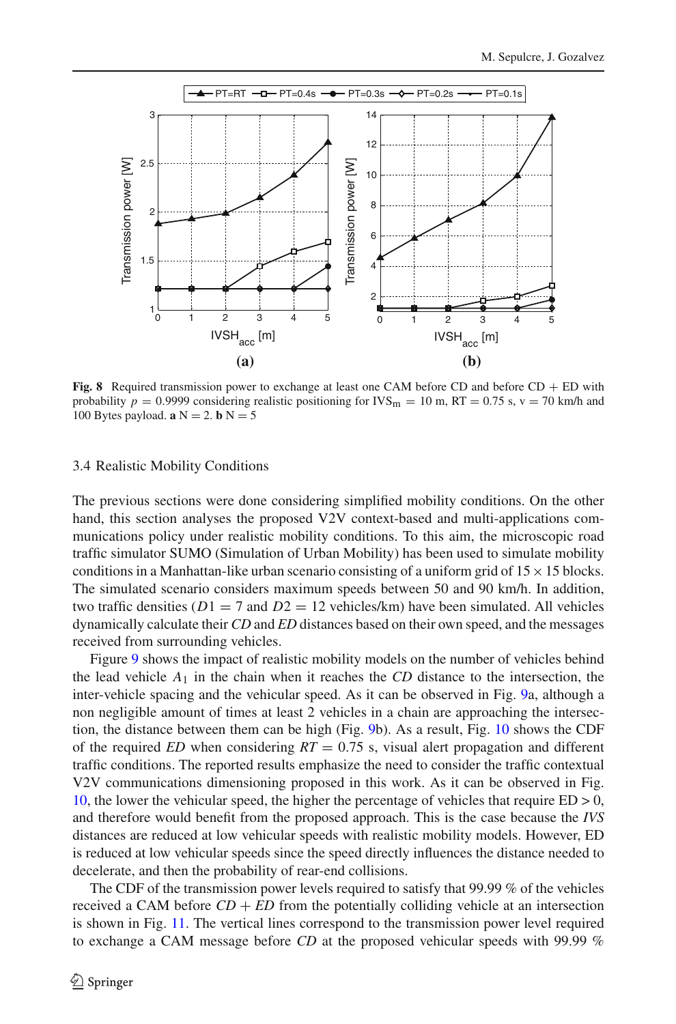

<span id="page-15-1"></span>Fig. 8 Required transmission power to exchange at least one CAM before CD and before CD + ED with probability  $p = 0.9999$  considering realistic positioning for IVS<sub>m</sub> = 10 m, RT = 0.75 s, v = 70 km/h and 100 Bytes payload.  $\mathbf{a}$  N = 2.  $\mathbf{b}$  N = 5

#### <span id="page-15-0"></span>3.4 Realistic Mobility Conditions

The previous sections were done considering simplified mobility conditions. On the other hand, this section analyses the proposed V2V context-based and multi-applications communications policy under realistic mobility conditions. To this aim, the microscopic road traffic simulator SUMO (Simulation of Urban Mobility) has been used to simulate mobility conditions in a Manhattan-like urban scenario consisting of a uniform grid of  $15 \times 15$  blocks. The simulated scenario considers maximum speeds between 50 and 90 km/h. In addition, two traffic densities ( $D1 = 7$  and  $D2 = 12$  vehicles/km) have been simulated. All vehicles dynamically calculate their *CD* and *ED* distances based on their own speed, and the messages received from surrounding vehicles.

Figure [9](#page-16-0) shows the impact of realistic mobility models on the number of vehicles behind the lead vehicle  $A_1$  in the chain when it reaches the *CD* distance to the intersection, the inter-vehicle spacing and the vehicular speed. As it can be observed in Fig. [9a](#page-16-0), although a non negligible amount of times at least 2 vehicles in a chain are approaching the intersection, the distance between them can be high (Fig. [9b](#page-16-0)). As a result, Fig. [10](#page-16-1) shows the CDF of the required *ED* when considering  $RT = 0.75$  s, visual alert propagation and different traffic conditions. The reported results emphasize the need to consider the traffic contextual V2V communications dimensioning proposed in this work. As it can be observed in Fig. [10,](#page-16-1) the lower the vehicular speed, the higher the percentage of vehicles that require  $ED > 0$ , and therefore would benefit from the proposed approach. This is the case because the *IVS* distances are reduced at low vehicular speeds with realistic mobility models. However, ED is reduced at low vehicular speeds since the speed directly influences the distance needed to decelerate, and then the probability of rear-end collisions.

The CDF of the transmission power levels required to satisfy that 99.99 % of the vehicles received a CAM before  $CD + ED$  from the potentially colliding vehicle at an intersection is shown in Fig. [11.](#page-17-4) The vertical lines correspond to the transmission power level required to exchange a CAM message before *CD* at the proposed vehicular speeds with 99.99 %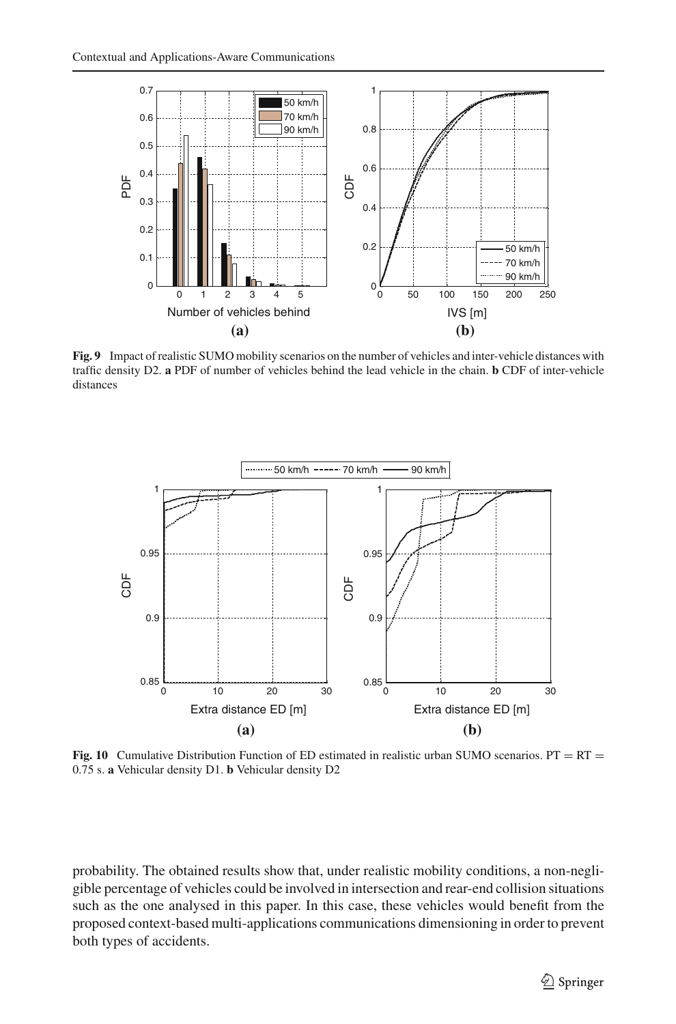

<span id="page-16-0"></span>**Fig. 9** Impact of realistic SUMO mobility scenarios on the number of vehicles and inter-vehicle distances with traffic density D2. **a** PDF of number of vehicles behind the lead vehicle in the chain. **b** CDF of inter-vehicle distances



<span id="page-16-1"></span>**Fig. 10** Cumulative Distribution Function of ED estimated in realistic urban SUMO scenarios.  $PT = RT =$ 0.75 s. **a** Vehicular density D1. **b** Vehicular density D2

probability. The obtained results show that, under realistic mobility conditions, a non-negligible percentage of vehicles could be involved in intersection and rear-end collision situations such as the one analysed in this paper. In this case, these vehicles would benefit from the proposed context-based multi-applications communications dimensioning in order to prevent both types of accidents.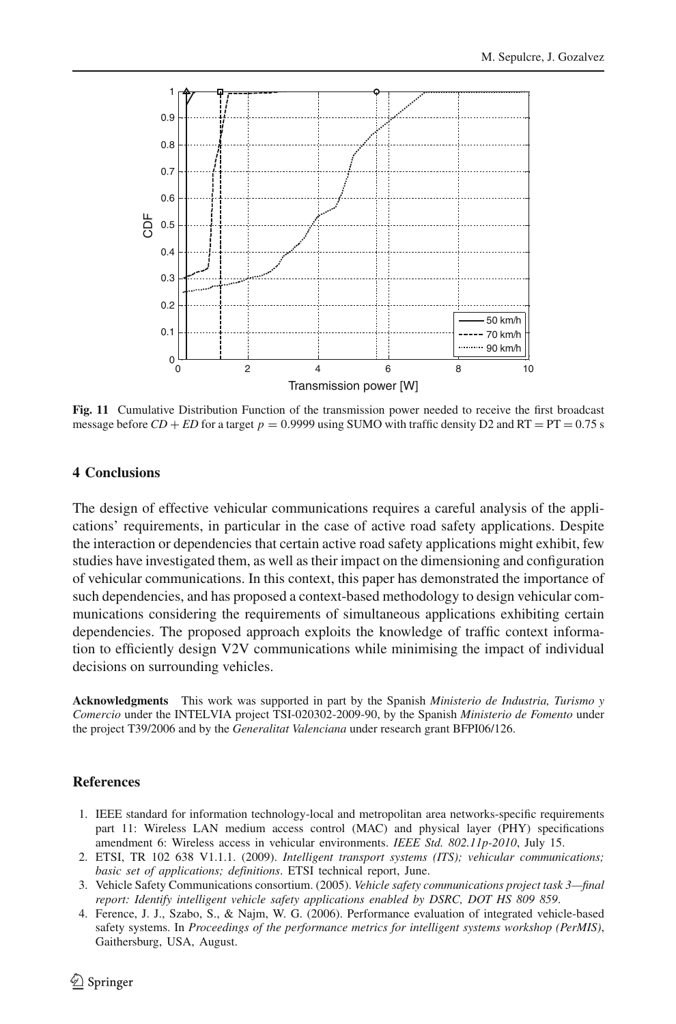

<span id="page-17-4"></span>**Fig. 11** Cumulative Distribution Function of the transmission power needed to receive the first broadcast message before  $CD + ED$  for a target  $p = 0.9999$  using SUMO with traffic density D2 and RT = PT = 0.75 s

## **4 Conclusions**

The design of effective vehicular communications requires a careful analysis of the applications' requirements, in particular in the case of active road safety applications. Despite the interaction or dependencies that certain active road safety applications might exhibit, few studies have investigated them, as well as their impact on the dimensioning and configuration of vehicular communications. In this context, this paper has demonstrated the importance of such dependencies, and has proposed a context-based methodology to design vehicular communications considering the requirements of simultaneous applications exhibiting certain dependencies. The proposed approach exploits the knowledge of traffic context information to efficiently design V2V communications while minimising the impact of individual decisions on surrounding vehicles.

**Acknowledgments** This work was supported in part by the Spanish *Ministerio de Industria, Turismo y Comercio* under the INTELVIA project TSI-020302-2009-90, by the Spanish *Ministerio de Fomento* under the project T39/2006 and by the *Generalitat Valenciana* under research grant BFPI06/126.

#### <span id="page-17-0"></span>**References**

- 1. IEEE standard for information technology-local and metropolitan area networks-specific requirements part 11: Wireless LAN medium access control (MAC) and physical layer (PHY) specifications amendment 6: Wireless access in vehicular environments. *IEEE Std. 802.11p-2010*, July 15.
- <span id="page-17-1"></span>2. ETSI, TR 102 638 V1.1.1. (2009). *Intelligent transport systems (ITS); vehicular communications; basic set of applications; definitions*. ETSI technical report, June.
- <span id="page-17-2"></span>3. Vehicle Safety Communications consortium. (2005). *Vehicle safety communications project task 3—final report: Identify intelligent vehicle safety applications enabled by DSRC, DOT HS 809 859*.
- <span id="page-17-3"></span>4. Ference, J. J., Szabo, S., & Najm, W. G. (2006). Performance evaluation of integrated vehicle-based safety systems. In *Proceedings of the performance metrics for intelligent systems workshop (PerMIS)*, Gaithersburg, USA, August.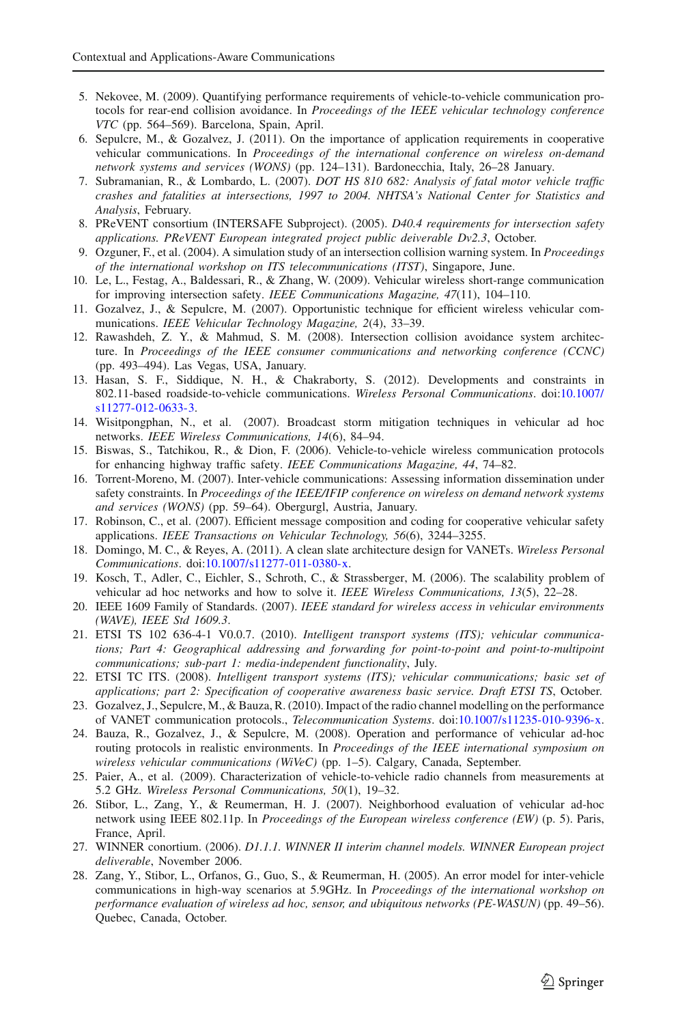- <span id="page-18-0"></span>5. Nekovee, M. (2009). Quantifying performance requirements of vehicle-to-vehicle communication protocols for rear-end collision avoidance. In *Proceedings of the IEEE vehicular technology conference VTC* (pp. 564–569). Barcelona, Spain, April.
- <span id="page-18-1"></span>6. Sepulcre, M., & Gozalvez, J. (2011). On the importance of application requirements in cooperative vehicular communications. In *Proceedings of the international conference on wireless on-demand network systems and services (WONS)* (pp. 124–131). Bardonecchia, Italy, 26–28 January.
- <span id="page-18-2"></span>7. Subramanian, R., & Lombardo, L. (2007). *DOT HS 810 682: Analysis of fatal motor vehicle traffic crashes and fatalities at intersections, 1997 to 2004. NHTSA's National Center for Statistics and Analysis*, February.
- <span id="page-18-3"></span>8. PReVENT consortium (INTERSAFE Subproject). (2005). *D40.4 requirements for intersection safety applications. PReVENT European integrated project public deiverable Dv2.3*, October.
- <span id="page-18-4"></span>9. Ozguner, F., et al. (2004). A simulation study of an intersection collision warning system. In *Proceedings of the international workshop on ITS telecommunications (ITST)*, Singapore, June.
- <span id="page-18-5"></span>10. Le, L., Festag, A., Baldessari, R., & Zhang, W. (2009). Vehicular wireless short-range communication for improving intersection safety. *IEEE Communications Magazine, 47*(11), 104–110.
- <span id="page-18-6"></span>11. Gozalvez, J., & Sepulcre, M. (2007). Opportunistic technique for efficient wireless vehicular communications. *IEEE Vehicular Technology Magazine, 2*(4), 33–39.
- <span id="page-18-7"></span>12. Rawashdeh, Z. Y., & Mahmud, S. M. (2008). Intersection collision avoidance system architecture. In *Proceedings of the IEEE consumer communications and networking conference (CCNC)* (pp. 493–494). Las Vegas, USA, January.
- <span id="page-18-8"></span>13. Hasan, S. F., Siddique, N. H., & Chakraborty, S. (2012). Developments and constraints in 802.11-based roadside-to-vehicle communications. *Wireless Personal Communications*. doi[:10.1007/](http://dx.doi.org/10.1007/s11277-012-0633-3) [s11277-012-0633-3.](http://dx.doi.org/10.1007/s11277-012-0633-3)
- <span id="page-18-9"></span>14. Wisitpongphan, N., et al. (2007). Broadcast storm mitigation techniques in vehicular ad hoc networks. *IEEE Wireless Communications, 14*(6), 84–94.
- <span id="page-18-10"></span>15. Biswas, S., Tatchikou, R., & Dion, F. (2006). Vehicle-to-vehicle wireless communication protocols for enhancing highway traffic safety. *IEEE Communications Magazine, 44*, 74–82.
- <span id="page-18-11"></span>16. Torrent-Moreno, M. (2007). Inter-vehicle communications: Assessing information dissemination under safety constraints. In *Proceedings of the IEEE/IFIP conference on wireless on demand network systems and services (WONS)* (pp. 59–64). Obergurgl, Austria, January.
- <span id="page-18-12"></span>17. Robinson, C., et al. (2007). Efficient message composition and coding for cooperative vehicular safety applications. *IEEE Transactions on Vehicular Technology, 56*(6), 3244–3255.
- <span id="page-18-14"></span>18. Domingo, M. C., & Reyes, A. (2011). A clean slate architecture design for VANETs. *Wireless Personal Communications*. doi[:10.1007/s11277-011-0380-x.](http://dx.doi.org/10.1007/s11277-011-0380-x)
- <span id="page-18-13"></span>19. Kosch, T., Adler, C., Eichler, S., Schroth, C., & Strassberger, M. (2006). The scalability problem of vehicular ad hoc networks and how to solve it. *IEEE Wireless Communications, 13*(5), 22–28.
- <span id="page-18-15"></span>20. IEEE 1609 Family of Standards. (2007). *IEEE standard for wireless access in vehicular environments (WAVE), IEEE Std 1609.3*.
- <span id="page-18-16"></span>21. ETSI TS 102 636-4-1 V0.0.7. (2010). *Intelligent transport systems (ITS); vehicular communications; Part 4: Geographical addressing and forwarding for point-to-point and point-to-multipoint communications; sub-part 1: media-independent functionality*, July.
- <span id="page-18-17"></span>22. ETSI TC ITS. (2008). *Intelligent transport systems (ITS); vehicular communications; basic set of applications; part 2: Specification of cooperative awareness basic service. Draft ETSI TS*, October.
- <span id="page-18-18"></span>23. Gozalvez, J., Sepulcre, M., & Bauza, R. (2010). Impact of the radio channel modelling on the performance of VANET communication protocols., *Telecommunication Systems*. doi[:10.1007/s11235-010-9396-x.](http://dx.doi.org/10.1007/s11235-010-9396-x)
- <span id="page-18-19"></span>24. Bauza, R., Gozalvez, J., & Sepulcre, M. (2008). Operation and performance of vehicular ad-hoc routing protocols in realistic environments. In *Proceedings of the IEEE international symposium on wireless vehicular communications (WiVeC)* (pp. 1–5). Calgary, Canada, September.
- <span id="page-18-20"></span>25. Paier, A., et al. (2009). Characterization of vehicle-to-vehicle radio channels from measurements at 5.2 GHz. *Wireless Personal Communications, 50*(1), 19–32.
- <span id="page-18-21"></span>26. Stibor, L., Zang, Y., & Reumerman, H. J. (2007). Neighborhood evaluation of vehicular ad-hoc network using IEEE 802.11p. In *Proceedings of the European wireless conference (EW)* (p. 5). Paris, France, April.
- <span id="page-18-22"></span>27. WINNER conortium. (2006). *D1.1.1. WINNER II interim channel models. WINNER European project deliverable*, November 2006.
- <span id="page-18-23"></span>28. Zang, Y., Stibor, L., Orfanos, G., Guo, S., & Reumerman, H. (2005). An error model for inter-vehicle communications in high-way scenarios at 5.9GHz. In *Proceedings of the international workshop on performance evaluation of wireless ad hoc, sensor, and ubiquitous networks (PE-WASUN)* (pp. 49–56). Quebec, Canada, October.